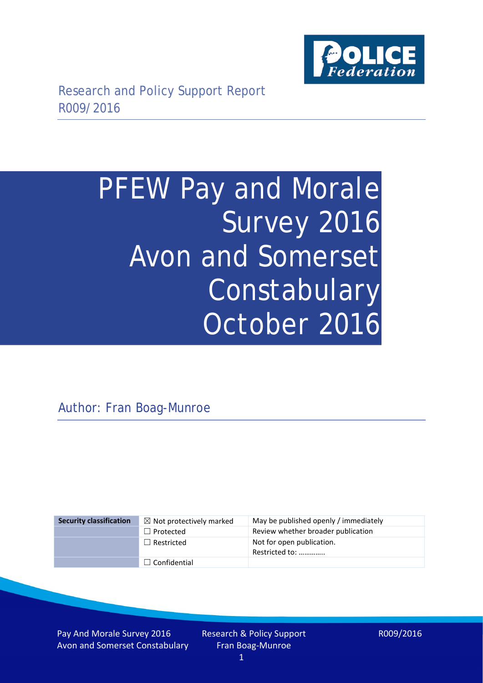

# PFEW Pay and Morale Survey 2016 Avon and Somerset Constabulary October 2016

Author: Fran Boag-Munroe

# ☐ Confidential

**Security classification** ☒ Not protectively marked May be published openly / immediately □ Protected Review whether broader publication □ Restricted Not for open publication. Restricted to: …………..

Pay And Morale Survey 2016 Avon and Somerset Constabulary Research & Policy Support Fran Boag-Munroe 1

R009/2016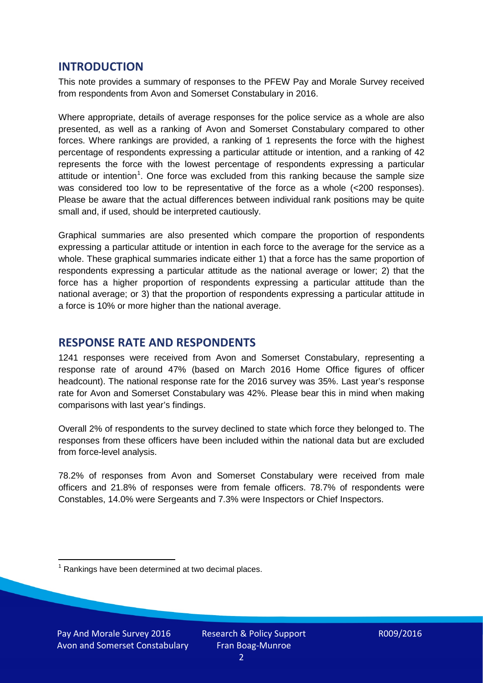### **INTRODUCTION**

This note provides a summary of responses to the PFEW Pay and Morale Survey received from respondents from Avon and Somerset Constabulary in 2016.

Where appropriate, details of average responses for the police service as a whole are also presented, as well as a ranking of Avon and Somerset Constabulary compared to other forces. Where rankings are provided, a ranking of 1 represents the force with the highest percentage of respondents expressing a particular attitude or intention, and a ranking of 42 represents the force with the lowest percentage of respondents expressing a particular attitude or intention<sup>[1](#page-1-0)</sup>. One force was excluded from this ranking because the sample size was considered too low to be representative of the force as a whole (<200 responses). Please be aware that the actual differences between individual rank positions may be quite small and, if used, should be interpreted cautiously.

Graphical summaries are also presented which compare the proportion of respondents expressing a particular attitude or intention in each force to the average for the service as a whole. These graphical summaries indicate either 1) that a force has the same proportion of respondents expressing a particular attitude as the national average or lower; 2) that the force has a higher proportion of respondents expressing a particular attitude than the national average; or 3) that the proportion of respondents expressing a particular attitude in a force is 10% or more higher than the national average.

# **RESPONSE RATE AND RESPONDENTS**

1241 responses were received from Avon and Somerset Constabulary, representing a response rate of around 47% (based on March 2016 Home Office figures of officer headcount). The national response rate for the 2016 survey was 35%. Last year's response rate for Avon and Somerset Constabulary was 42%. Please bear this in mind when making comparisons with last year's findings.

Overall 2% of respondents to the survey declined to state which force they belonged to. The responses from these officers have been included within the national data but are excluded from force-level analysis.

78.2% of responses from Avon and Somerset Constabulary were received from male officers and 21.8% of responses were from female officers. 78.7% of respondents were Constables, 14.0% were Sergeants and 7.3% were Inspectors or Chief Inspectors.

<span id="page-1-0"></span> $1$  Rankings have been determined at two decimal places.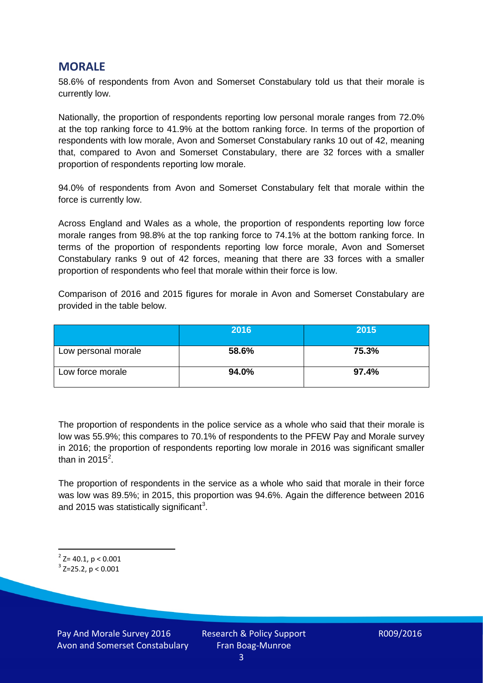#### **MORALE**

58.6% of respondents from Avon and Somerset Constabulary told us that their morale is currently low.

Nationally, the proportion of respondents reporting low personal morale ranges from 72.0% at the top ranking force to 41.9% at the bottom ranking force. In terms of the proportion of respondents with low morale, Avon and Somerset Constabulary ranks 10 out of 42, meaning that, compared to Avon and Somerset Constabulary, there are 32 forces with a smaller proportion of respondents reporting low morale.

94.0% of respondents from Avon and Somerset Constabulary felt that morale within the force is currently low.

Across England and Wales as a whole, the proportion of respondents reporting low force morale ranges from 98.8% at the top ranking force to 74.1% at the bottom ranking force. In terms of the proportion of respondents reporting low force morale, Avon and Somerset Constabulary ranks 9 out of 42 forces, meaning that there are 33 forces with a smaller proportion of respondents who feel that morale within their force is low.

Comparison of 2016 and 2015 figures for morale in Avon and Somerset Constabulary are provided in the table below.

|                     | 2016  | 2015  |
|---------------------|-------|-------|
| Low personal morale | 58.6% | 75.3% |
| Low force morale    | 94.0% | 97.4% |

The proportion of respondents in the police service as a whole who said that their morale is low was 55.9%; this compares to 70.1% of respondents to the PFEW Pay and Morale survey in 2016; the proportion of respondents reporting low morale in 2016 was significant smaller than in [2](#page-2-0)015<sup>2</sup>.

The proportion of respondents in the service as a whole who said that morale in their force was low was 89.5%; in 2015, this proportion was 94.6%. Again the difference between 2016 and 2015 was statistically significant<sup>[3](#page-2-1)</sup>.

<span id="page-2-0"></span> $2$ <sup>2</sup> Z= 40.1, p < 0.001

<span id="page-2-1"></span> $3$  Z=25.2, p < 0.001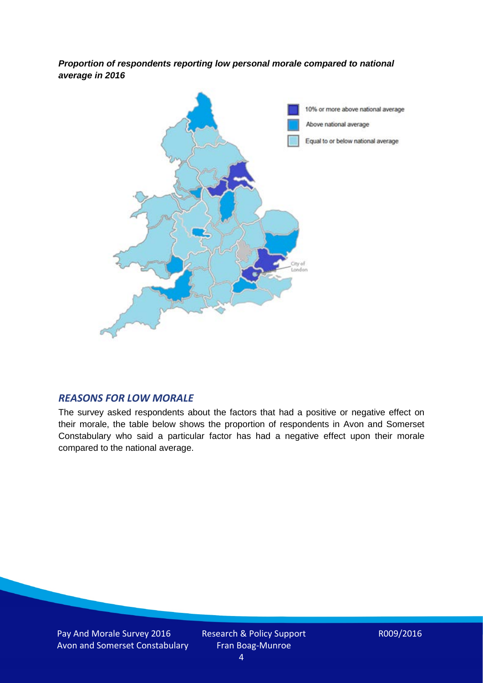*Proportion of respondents reporting low personal morale compared to national average in 2016*



#### *REASONS FOR LOW MORALE*

The survey asked respondents about the factors that had a positive or negative effect on their morale, the table below shows the proportion of respondents in Avon and Somerset Constabulary who said a particular factor has had a negative effect upon their morale compared to the national average.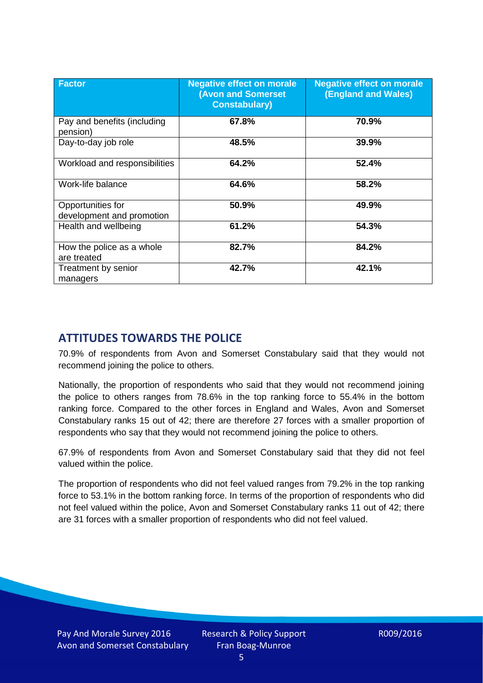| <b>Factor</b>                                  | <b>Negative effect on morale</b><br><b>(Avon and Somerset</b><br><b>Constabulary)</b> | <b>Negative effect on morale</b><br><b>(England and Wales)</b> |
|------------------------------------------------|---------------------------------------------------------------------------------------|----------------------------------------------------------------|
| Pay and benefits (including<br>pension)        | 67.8%                                                                                 | 70.9%                                                          |
| Day-to-day job role                            | 48.5%                                                                                 | 39.9%                                                          |
| Workload and responsibilities                  | 64.2%                                                                                 | 52.4%                                                          |
| Work-life balance                              | 64.6%                                                                                 | 58.2%                                                          |
| Opportunities for<br>development and promotion | 50.9%                                                                                 | 49.9%                                                          |
| Health and wellbeing                           | 61.2%                                                                                 | 54.3%                                                          |
| How the police as a whole<br>are treated       | 82.7%                                                                                 | 84.2%                                                          |
| Treatment by senior<br>managers                | 42.7%                                                                                 | 42.1%                                                          |

# **ATTITUDES TOWARDS THE POLICE**

70.9% of respondents from Avon and Somerset Constabulary said that they would not recommend joining the police to others.

Nationally, the proportion of respondents who said that they would not recommend joining the police to others ranges from 78.6% in the top ranking force to 55.4% in the bottom ranking force. Compared to the other forces in England and Wales, Avon and Somerset Constabulary ranks 15 out of 42; there are therefore 27 forces with a smaller proportion of respondents who say that they would not recommend joining the police to others.

67.9% of respondents from Avon and Somerset Constabulary said that they did not feel valued within the police.

The proportion of respondents who did not feel valued ranges from 79.2% in the top ranking force to 53.1% in the bottom ranking force. In terms of the proportion of respondents who did not feel valued within the police, Avon and Somerset Constabulary ranks 11 out of 42; there are 31 forces with a smaller proportion of respondents who did not feel valued.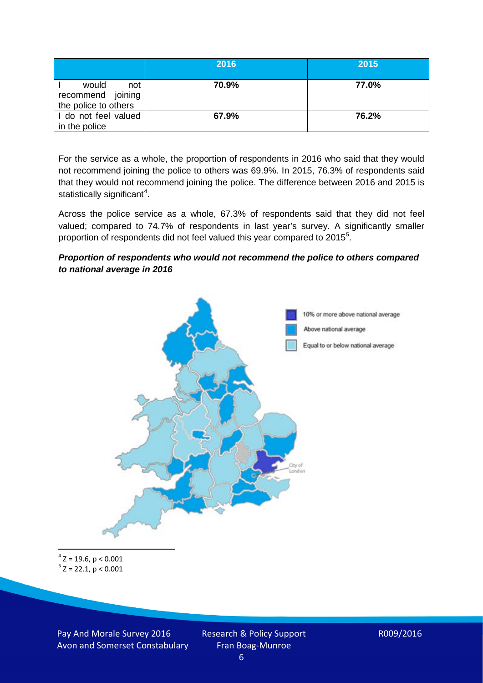|                                                           | 2016  | 2015  |
|-----------------------------------------------------------|-------|-------|
| would<br>not<br>recommend joining<br>the police to others | 70.9% | 77.0% |
| I do not feel valued<br>in the police                     | 67.9% | 76.2% |

For the service as a whole, the proportion of respondents in 2016 who said that they would not recommend joining the police to others was 69.9%. In 2015, 76.3% of respondents said that they would not recommend joining the police. The difference between 2016 and 2015 is statistically significant<sup>[4](#page-5-0)</sup>.

Across the police service as a whole, 67.3% of respondents said that they did not feel valued; compared to 74.7% of respondents in last year's survey. A significantly smaller proportion of respondents did not feel valued this year compared to 201[5](#page-5-1)<sup>5</sup>.

#### *Proportion of respondents who would not recommend the police to others compared to national average in 2016*



<span id="page-5-1"></span><span id="page-5-0"></span> $4$  Z = 19.6, p < 0.001  $5$  Z = 22.1, p < 0.001

Pay And Morale Survey 2016 Avon and Somerset Constabulary Research & Policy Support Fran Boag-Munroe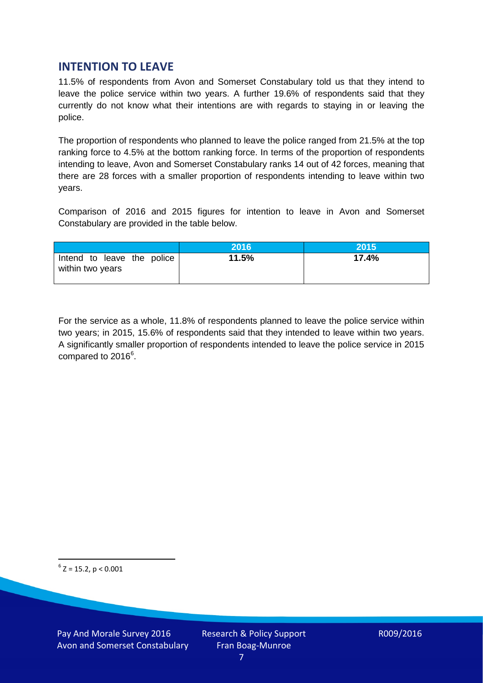## **INTENTION TO LEAVE**

11.5% of respondents from Avon and Somerset Constabulary told us that they intend to leave the police service within two years. A further 19.6% of respondents said that they currently do not know what their intentions are with regards to staying in or leaving the police.

The proportion of respondents who planned to leave the police ranged from 21.5% at the top ranking force to 4.5% at the bottom ranking force. In terms of the proportion of respondents intending to leave, Avon and Somerset Constabulary ranks 14 out of 42 forces, meaning that there are 28 forces with a smaller proportion of respondents intending to leave within two years.

Comparison of 2016 and 2015 figures for intention to leave in Avon and Somerset Constabulary are provided in the table below.

|                                                | 2016  | 2015  |
|------------------------------------------------|-------|-------|
| Intend to leave the police<br>within two years | 11.5% | 17.4% |

For the service as a whole, 11.8% of respondents planned to leave the police service within two years; in 2015, 15.6% of respondents said that they intended to leave within two years. A significantly smaller proportion of respondents intended to leave the police service in 2015 compared to 201[6](#page-6-0)<sup>6</sup>.

<span id="page-6-0"></span> $6$  Z = 15.2, p < 0.001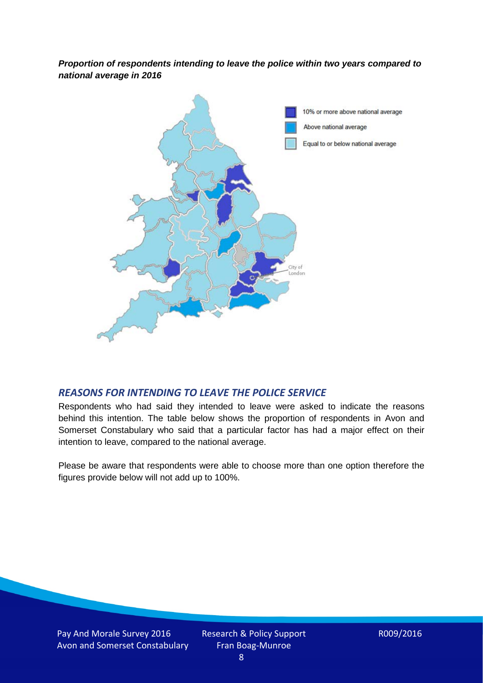*Proportion of respondents intending to leave the police within two years compared to national average in 2016*



#### *REASONS FOR INTENDING TO LEAVE THE POLICE SERVICE*

Respondents who had said they intended to leave were asked to indicate the reasons behind this intention. The table below shows the proportion of respondents in Avon and Somerset Constabulary who said that a particular factor has had a major effect on their intention to leave, compared to the national average.

Please be aware that respondents were able to choose more than one option therefore the figures provide below will not add up to 100%.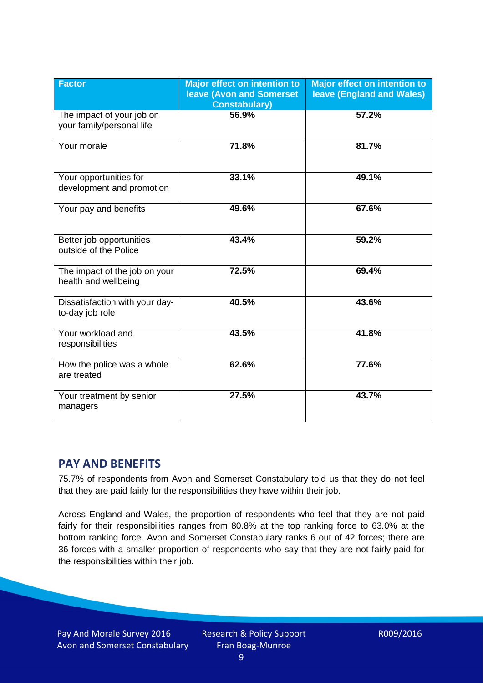| <b>Factor</b>                                          | <b>Major effect on intention to</b><br><b>leave (Avon and Somerset)</b><br><b>Constabulary)</b> | <b>Major effect on intention to</b><br><b>leave (England and Wales)</b> |
|--------------------------------------------------------|-------------------------------------------------------------------------------------------------|-------------------------------------------------------------------------|
| The impact of your job on<br>your family/personal life | 56.9%                                                                                           | 57.2%                                                                   |
| Your morale                                            | 71.8%                                                                                           | 81.7%                                                                   |
| Your opportunities for<br>development and promotion    | 33.1%                                                                                           | 49.1%                                                                   |
| Your pay and benefits                                  | 49.6%                                                                                           | 67.6%                                                                   |
| Better job opportunities<br>outside of the Police      | 43.4%                                                                                           | 59.2%                                                                   |
| The impact of the job on your<br>health and wellbeing  | 72.5%                                                                                           | 69.4%                                                                   |
| Dissatisfaction with your day-<br>to-day job role      | 40.5%                                                                                           | 43.6%                                                                   |
| Your workload and<br>responsibilities                  | 43.5%                                                                                           | 41.8%                                                                   |
| How the police was a whole<br>are treated              | 62.6%                                                                                           | 77.6%                                                                   |
| Your treatment by senior<br>managers                   | 27.5%                                                                                           | 43.7%                                                                   |

# **PAY AND BENEFITS**

75.7% of respondents from Avon and Somerset Constabulary told us that they do not feel that they are paid fairly for the responsibilities they have within their job.

Across England and Wales, the proportion of respondents who feel that they are not paid fairly for their responsibilities ranges from 80.8% at the top ranking force to 63.0% at the bottom ranking force. Avon and Somerset Constabulary ranks 6 out of 42 forces; there are 36 forces with a smaller proportion of respondents who say that they are not fairly paid for the responsibilities within their job.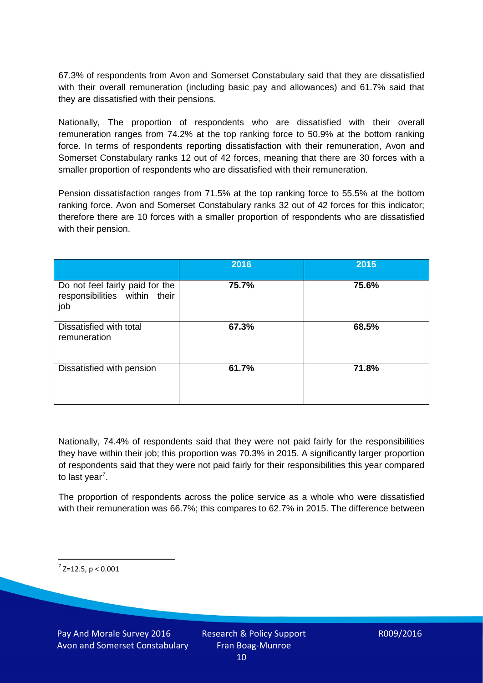67.3% of respondents from Avon and Somerset Constabulary said that they are dissatisfied with their overall remuneration (including basic pay and allowances) and 61.7% said that they are dissatisfied with their pensions.

Nationally, The proportion of respondents who are dissatisfied with their overall remuneration ranges from 74.2% at the top ranking force to 50.9% at the bottom ranking force. In terms of respondents reporting dissatisfaction with their remuneration, Avon and Somerset Constabulary ranks 12 out of 42 forces, meaning that there are 30 forces with a smaller proportion of respondents who are dissatisfied with their remuneration.

Pension dissatisfaction ranges from 71.5% at the top ranking force to 55.5% at the bottom ranking force. Avon and Somerset Constabulary ranks 32 out of 42 forces for this indicator; therefore there are 10 forces with a smaller proportion of respondents who are dissatisfied with their pension.

|                                                                         | 2016  | 2015  |
|-------------------------------------------------------------------------|-------|-------|
| Do not feel fairly paid for the<br>responsibilities within their<br>job | 75.7% | 75.6% |
| Dissatisfied with total<br>remuneration                                 | 67.3% | 68.5% |
| Dissatisfied with pension                                               | 61.7% | 71.8% |

Nationally, 74.4% of respondents said that they were not paid fairly for the responsibilities they have within their job; this proportion was 70.3% in 2015. A significantly larger proportion of respondents said that they were not paid fairly for their responsibilities this year compared to last year<sup>[7](#page-9-0)</sup>.

The proportion of respondents across the police service as a whole who were dissatisfied with their remuneration was 66.7%; this compares to 62.7% in 2015. The difference between

<span id="page-9-0"></span> $7$  Z=12.5, p < 0.001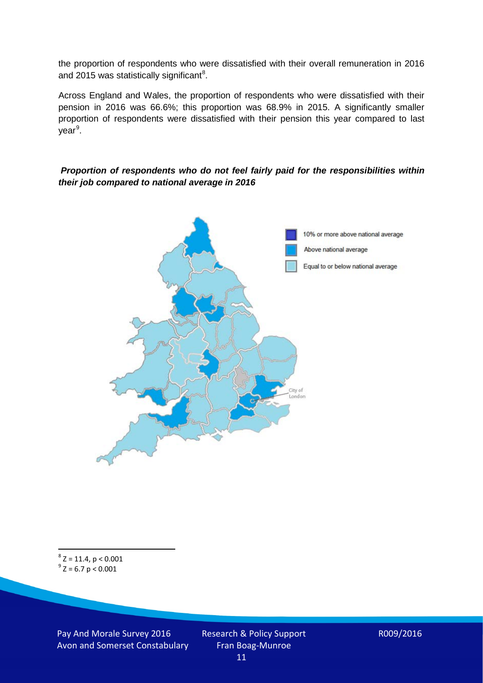the proportion of respondents who were dissatisfied with their overall remuneration in 2016 and 2015 was statistically significant<sup>[8](#page-10-0)</sup>.

Across England and Wales, the proportion of respondents who were dissatisfied with their pension in 2016 was 66.6%; this proportion was 68.9% in 2015. A significantly smaller proportion of respondents were dissatisfied with their pension this year compared to last year<sup>[9](#page-10-1)</sup>.

#### *Proportion of respondents who do not feel fairly paid for the responsibilities within their job compared to national average in 2016*



<span id="page-10-1"></span><span id="page-10-0"></span> $8$  Z = 11.4, p < 0.001  $^{9}$  Z = 6.7 p < 0.001